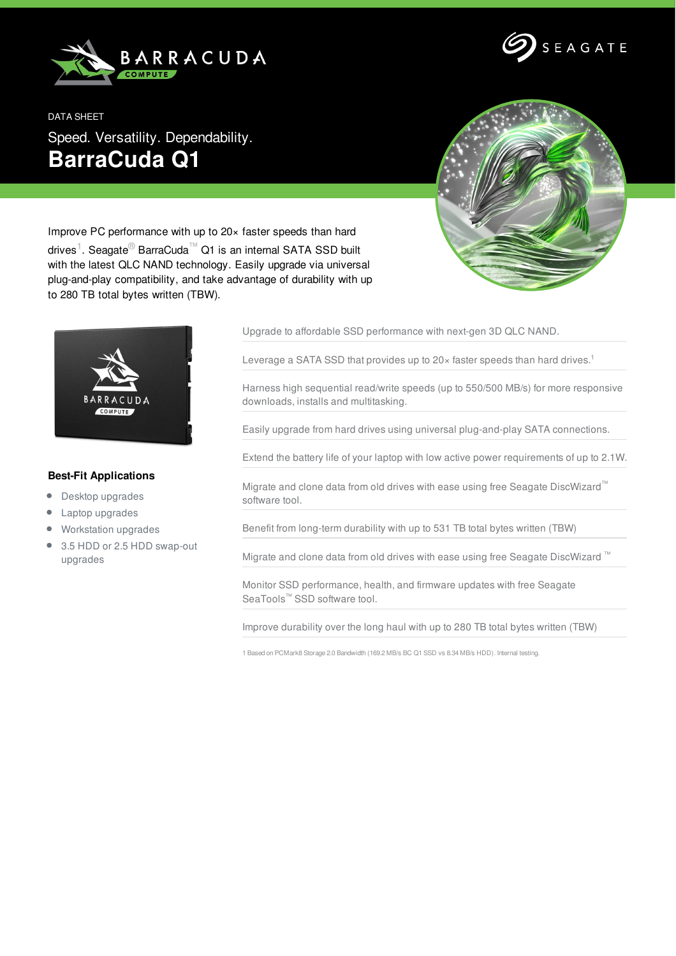



DATA SHEET Speed. Versatility. Dependability. **BarraCuda Q1**



Improve PC performance with up to 20× faster speeds than hard drives<sup>1</sup>. Seagate<sup>®</sup> BarraCuda™ Q1 is an internal SATA SSD built with the latest QLC NAND technology. Easily upgrade via universal plug-and-play compatibility, and take advantage of durability with up to 280 TB total bytes written (TBW).



## **Best-Fit Applications**

- Desktop upgrades
- Laptop upgrades
- Workstation upgrades
- 3.5 HDD or 2.5 HDD swap-out upgrades

Upgrade to affordable SSD performance with next-gen 3D QLC NAND.

Leverage a SATA SSD that provides up to 20 $\times$  faster speeds than hard drives.<sup>1</sup>

Harness high sequential read/write speeds (up to 550/500 MB/s) for more responsive downloads, installs and multitasking.

Easily upgrade from hard drives using universal plug-and-play SATA connections.

Extend the battery life of your laptop with low active power requirements of up to 2.1W.

Migrate and clone data from old drives with ease using free Seagate DiscWizard™ software tool.

Benefit from long-term durability with up to 531 TB total bytes written (TBW)

Migrate and clone data from old drives with ease using free Seagate DiscWizard ™

Monitor SSD performance, health, and firmware updates with free Seagate SeaTools™ SSD software tool.

Improve durability over the long haul with up to 280 TB total bytes written (TBW)

1 Based on PCMark8 Storage 2.0 Bandwidth (169.2 MB/s BC Q1 SSD vs 8.34 MB/s HDD). Internal testing.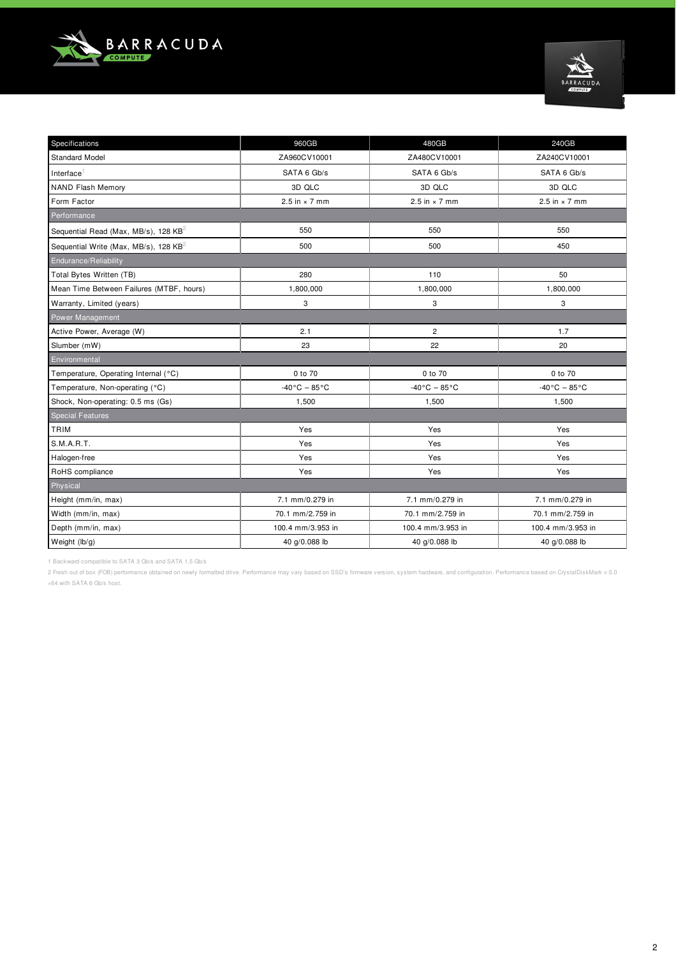



| Specifications                                   | 960GB                         | 480GB                          | 240GB                         |  |  |  |  |  |  |  |
|--------------------------------------------------|-------------------------------|--------------------------------|-------------------------------|--|--|--|--|--|--|--|
| <b>Standard Model</b>                            | ZA960CV10001                  | ZA480CV10001                   | ZA240CV10001                  |  |  |  |  |  |  |  |
| Interface <sup>1</sup>                           | SATA 6 Gb/s                   | SATA 6 Gb/s                    | SATA 6 Gb/s                   |  |  |  |  |  |  |  |
| <b>NAND Flash Memory</b>                         | 3D QLC                        | 3D QLC                         | 3D QLC                        |  |  |  |  |  |  |  |
| Form Factor                                      | 2.5 in $\times$ 7 mm          | 2.5 in $\times$ 7 mm           | 2.5 in $\times$ 7 mm          |  |  |  |  |  |  |  |
| Performance                                      |                               |                                |                               |  |  |  |  |  |  |  |
| Sequential Read (Max, MB/s), 128 KB <sup>2</sup> | 550                           | 550                            | 550                           |  |  |  |  |  |  |  |
| Sequential Write (Max, MB/s), 128 $KB^2$         | 500                           | 500                            | 450                           |  |  |  |  |  |  |  |
| Endurance/Reliability                            |                               |                                |                               |  |  |  |  |  |  |  |
| Total Bytes Written (TB)                         | 280                           | 110                            | 50                            |  |  |  |  |  |  |  |
| Mean Time Between Failures (MTBF, hours)         | 1,800,000                     | 1,800,000                      | 1,800,000                     |  |  |  |  |  |  |  |
| Warranty, Limited (years)                        | 3                             | 3                              | 3                             |  |  |  |  |  |  |  |
| Power Management                                 |                               |                                |                               |  |  |  |  |  |  |  |
| Active Power, Average (W)                        | 2.1                           | $\overline{2}$                 | 1.7                           |  |  |  |  |  |  |  |
| Slumber (mW)                                     | 23                            | 22                             | 20                            |  |  |  |  |  |  |  |
| Environmental                                    |                               |                                |                               |  |  |  |  |  |  |  |
| Temperature, Operating Internal (°C)             | 0 to 70                       | 0 to 70                        | 0 to 70                       |  |  |  |  |  |  |  |
| Temperature, Non-operating (°C)                  | $-40\degree$ C $-85\degree$ C | $-40\degree$ C $-85\degree$ C  | $-40\degree$ C $-85\degree$ C |  |  |  |  |  |  |  |
| Shock, Non-operating: 0.5 ms (Gs)                | 1,500                         | 1,500                          | 1,500                         |  |  |  |  |  |  |  |
| <b>Special Features</b>                          |                               |                                |                               |  |  |  |  |  |  |  |
| TRIM                                             | Yes                           | Yes                            | Yes                           |  |  |  |  |  |  |  |
| S.M.A.R.T.                                       | Yes                           | Yes                            | Yes                           |  |  |  |  |  |  |  |
| Halogen-free                                     | Yes                           | Yes                            | Yes                           |  |  |  |  |  |  |  |
| RoHS compliance                                  | Yes                           | Yes                            | Yes                           |  |  |  |  |  |  |  |
| Physical                                         |                               |                                |                               |  |  |  |  |  |  |  |
| Height (mm/in, max)                              | 7.1 mm/0.279 in               | 7.1 mm/0.279 in                | 7.1 mm/0.279 in               |  |  |  |  |  |  |  |
| Width (mm/in, max)                               | 70.1 mm/2.759 in              | 70.1 mm/2.759 in               | 70.1 mm/2.759 in              |  |  |  |  |  |  |  |
| Depth (mm/in, max)                               | 100.4 mm/3.953 in             | 100.4 mm/3.953 in              | 100.4 mm/3.953 in             |  |  |  |  |  |  |  |
| Weight (lb/g)                                    | 40 g/0.088 lb                 | 40 g/0.088 lb<br>40 g/0.088 lb |                               |  |  |  |  |  |  |  |

1 Backward compatible to SATA 3 Gb/s and SATA 1.5 Gb/s

2 Fresh out of box (FOB) performance obtained on newly formatted drive. Performance may vary based on SSD's firmware version, system hardware, and configuration. Performance based on CrystalDiskMark v.5.0 ×64 with SATA 6 Gb/s host.